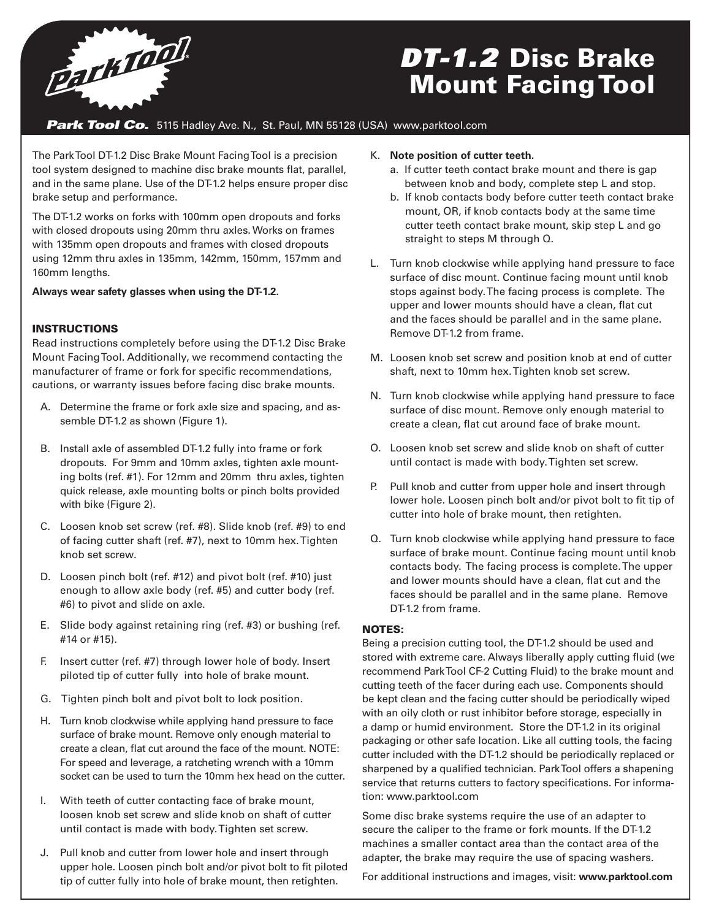

# *DT-1.2* Disc Brake Mount Facing Tool

### **Park Tool Co.** 5115 Hadley Ave. N., St. Paul, MN 55128 (USA) www.parktool.com

The Park Tool DT-1.2 Disc Brake Mount Facing Tool is a precision tool system designed to machine disc brake mounts flat, parallel, and in the same plane. Use of the DT-1.2 helps ensure proper disc brake setup and performance.

The DT-1.2 works on forks with 100mm open dropouts and forks with closed dropouts using 20mm thru axles. Works on frames with 135mm open dropouts and frames with closed dropouts using 12mm thru axles in 135mm, 142mm, 150mm, 157mm and 160mm lengths.

**Always wear safety glasses when using the DT-1.2.**

### **INSTRUCTIONS**

Read instructions completely before using the DT-1.2 Disc Brake Mount Facing Tool. Additionally, we recommend contacting the manufacturer of frame or fork for specific recommendations, cautions, or warranty issues before facing disc brake mounts.

- A. Determine the frame or fork axle size and spacing, and assemble DT-1.2 as shown (Figure 1).
- B. Install axle of assembled DT-1.2 fully into frame or fork dropouts. For 9mm and 10mm axles, tighten axle mounting bolts (ref. #1). For 12mm and 20mm thru axles, tighten quick release, axle mounting bolts or pinch bolts provided with bike (Figure 2).
- C. Loosen knob set screw (ref. #8). Slide knob (ref. #9) to end of facing cutter shaft (ref. #7), next to 10mm hex. Tighten knob set screw.
- D. Loosen pinch bolt (ref. #12) and pivot bolt (ref. #10) just enough to allow axle body (ref. #5) and cutter body (ref. #6) to pivot and slide on axle.
- E. Slide body against retaining ring (ref. #3) or bushing (ref. #14 or #15).
- F. Insert cutter (ref. #7) through lower hole of body. Insert piloted tip of cutter fully into hole of brake mount.
- G. Tighten pinch bolt and pivot bolt to lock position.
- H. Turn knob clockwise while applying hand pressure to face surface of brake mount. Remove only enough material to create a clean, flat cut around the face of the mount. NOTE: For speed and leverage, a ratcheting wrench with a 10mm socket can be used to turn the 10mm hex head on the cutter.
- I. With teeth of cutter contacting face of brake mount, loosen knob set screw and slide knob on shaft of cutter until contact is made with body. Tighten set screw.
- J. Pull knob and cutter from lower hole and insert through upper hole. Loosen pinch bolt and/or pivot bolt to fit piloted tip of cutter fully into hole of brake mount, then retighten.

#### K. **Note position of cutter teeth.**

- a. If cutter teeth contact brake mount and there is gap between knob and body, complete step L and stop.
- b. If knob contacts body before cutter teeth contact brake mount, OR, if knob contacts body at the same time cutter teeth contact brake mount, skip step L and go straight to steps M through Q.
- L. Turn knob clockwise while applying hand pressure to face surface of disc mount. Continue facing mount until knob stops against body. The facing process is complete. The upper and lower mounts should have a clean, flat cut and the faces should be parallel and in the same plane. Remove DT-1.2 from frame.
- M. Loosen knob set screw and position knob at end of cutter shaft, next to 10mm hex. Tighten knob set screw.
- N. Turn knob clockwise while applying hand pressure to face surface of disc mount. Remove only enough material to create a clean, flat cut around face of brake mount.
- O. Loosen knob set screw and slide knob on shaft of cutter until contact is made with body. Tighten set screw.
- P. Pull knob and cutter from upper hole and insert through lower hole. Loosen pinch bolt and/or pivot bolt to fit tip of cutter into hole of brake mount, then retighten.
- Q. Turn knob clockwise while applying hand pressure to face surface of brake mount. Continue facing mount until knob contacts body. The facing process is complete. The upper and lower mounts should have a clean, flat cut and the faces should be parallel and in the same plane. Remove DT-1.2 from frame.

### NOTES:

Being a precision cutting tool, the DT-1.2 should be used and stored with extreme care. Always liberally apply cutting fluid (we recommend Park Tool CF-2 Cutting Fluid) to the brake mount and cutting teeth of the facer during each use. Components should be kept clean and the facing cutter should be periodically wiped with an oily cloth or rust inhibitor before storage, especially in a damp or humid environment. Store the DT-1.2 in its original packaging or other safe location. Like all cutting tools, the facing cutter included with the DT-1.2 should be periodically replaced or sharpened by a qualified technician. Park Tool offers a shapening service that returns cutters to factory specifications. For information: www.parktool.com

Some disc brake systems require the use of an adapter to secure the caliper to the frame or fork mounts. If the DT-1.2 machines a smaller contact area than the contact area of the adapter, the brake may require the use of spacing washers.

For additional instructions and images, visit: **www.parktool.com**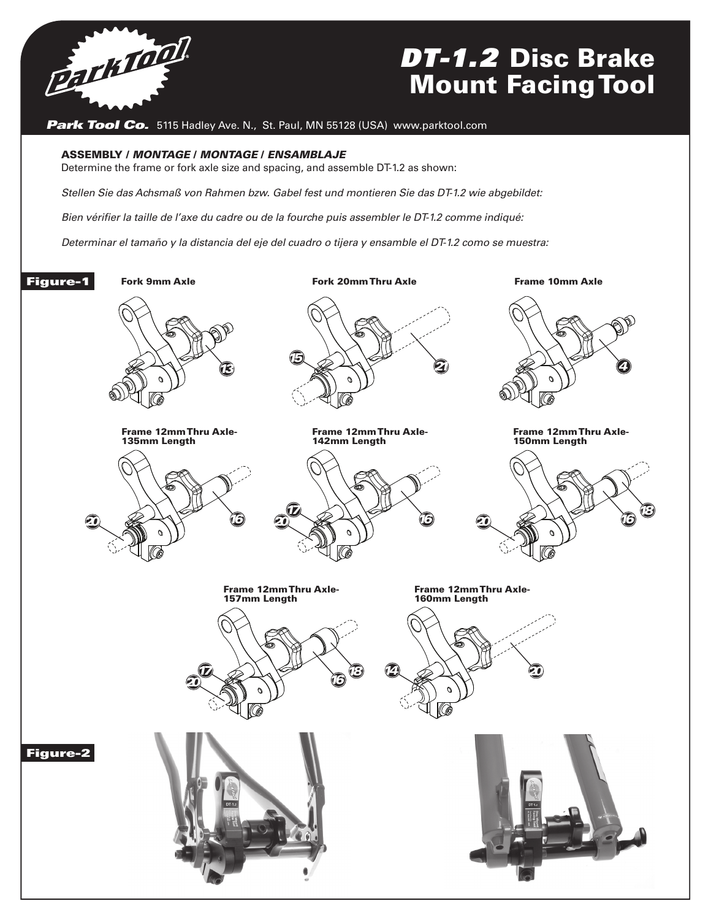

# *DT-1.2* Disc Brake Mount Facing Tool

**Park Tool Co.** 5115 Hadley Ave. N., St. Paul, MN 55128 (USA) www.parktool.com

#### ASSEMBLY / *MONTAGE* / *MONTAGE* / *ENSAMBLAJE*

Determine the frame or fork axle size and spacing, and assemble DT-1.2 as shown:

*Stellen Sie das Achsmaß von Rahmen bzw. Gabel fest und montieren Sie das DT-1.2 wie abgebildet:*

Bien vérifier la taille de l'axe du cadre ou de la fourche puis assembler le DT-1.2 comme indiqué:<br>**Bien vérifier la taille de l'axe du** cadre ou de la fourche puis assembler le DT-1.2 comme indiqué:

Determinar el tamaño y la distancia del eje del cuadro o tijera y ensamble el DT-1.2 como se muestra:

Figure-1

Frame 12mm Thru Axle-135mm Length

Fork 9mm Axle Fork 20mm Thru Axle Frame10mm Axle Fork 9mm Axle Fork 20mm Thru Axle Frame10mm Axle Fork 9mm Axle Fork 20mm Thru Axle Frame 10mm Axle Fork 9mm Axle Fork 20mm Thru Axle Frame10mm Axle

Frame 12mm Thru Axle-

Frame 12mm Thru Axle-150mm Length

*<sup>16</sup> <sup>18</sup>*

Frame 12mm Thru Axle-150mm Length

Frame 12mm Thru Axle-150mm Length

Frame 12mm Thru Axle-150mm Length

Frame 12mm Thru Axle-150mm Length

150mm Length

 $\mathbb{R}$ 



Frame 12mm Thru Axle-135mm Length Frame 12mm Thru Axle-135mm Length









Frame 12mm Thru Axle-

*20*











Figure-2

Frame 12mm Thru Axle-157mm Length

Frame 12mm Thru Axle-157mm Length

Frame 12mm Thru Axle-157mm Length

Frame 12mm Thru Axle-157mm Length

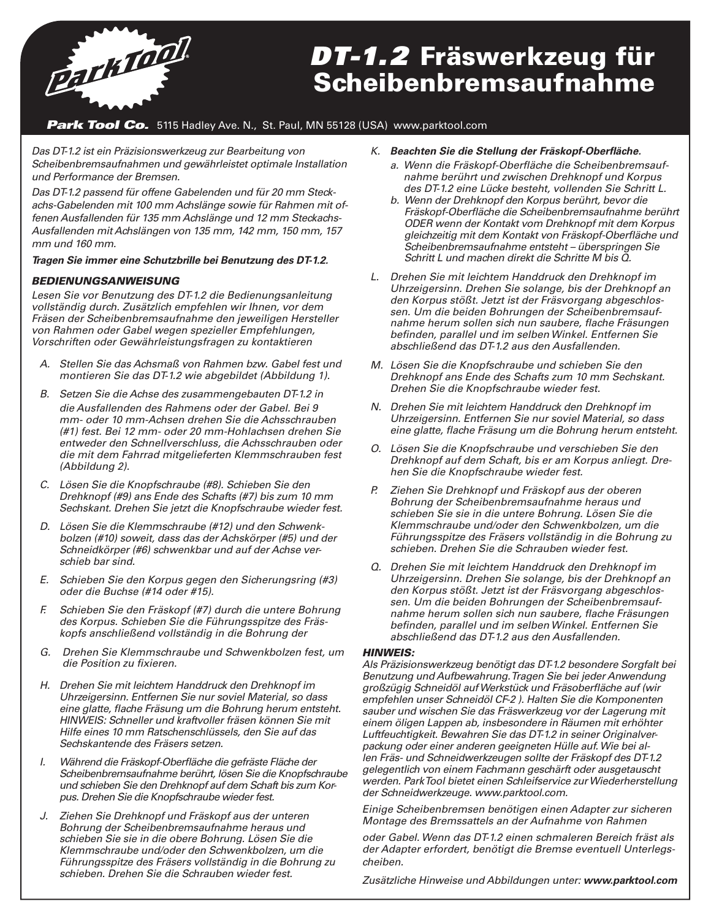

# *DT-1.2* Fräswerkzeug für Scheibenbremsaufnahme

### **Park Tool Co.** 5115 Hadley Ave. N., St. Paul, MN 55128 (USA) www.parktool.com

*Das DT-1.2 ist ein Präzisionswerkzeug zur Bearbeitung von Scheibenbremsaufnahmen und gewährleistet optimale Installation und Performance der Bremsen.*

*Das DT-1.2 passend für offene Gabelenden und für 20 mm Steckachs-Gabelenden mit 100 mm Achslänge sowie für Rahmen mit offenen Ausfallenden für 135 mm Achslänge und 12 mm Steckachs-Ausfallenden mit Achslängen von 135 mm, 142 mm, 150 mm, 157 mm und 160 mm.*

#### *Tragen Sie immer eine Schutzbrille bei Benutzung des DT-1.2.*

### *BEDIENUNGSANWEISUNG*

*Lesen Sie vor Benutzung des DT-1.2 die Bedienungsanleitung vollständig durch. Zusätzlich empfehlen wir Ihnen, vor dem Fräsen der Scheibenbremsaufnahme den jeweiligen Hersteller von Rahmen oder Gabel wegen spezieller Empfehlungen, Vorschriften oder Gewährleistungsfragen zu kontaktieren*

- *A. Stellen Sie das Achsmaß von Rahmen bzw. Gabel fest und montieren Sie das DT-1.2 wie abgebildet (Abbildung 1).*
- *B. Setzen Sie die Achse des zusammengebauten DT-1.2 in die Ausfallenden des Rahmens oder der Gabel. Bei 9 mm- oder 10 mm-Achsen drehen Sie die Achsschrauben (#1) fest. Bei 12 mm- oder 20 mm-Hohlachsen drehen Sie entweder den Schnellverschluss, die Achsschrauben oder die mit dem Fahrrad mitgelieferten Klemmschrauben fest (Abbildung 2).*
- *C. Lösen Sie die Knopfschraube (#8). Schieben Sie den Drehknopf (#9) ans Ende des Schafts (#7) bis zum 10 mm Sechskant. Drehen Sie jetzt die Knopfschraube wieder fest.*
- *D. Lösen Sie die Klemmschraube (#12) und den Schwenkbolzen (#10) soweit, dass das der Achskörper (#5) und der Schneidkörper (#6) schwenkbar und auf der Achse verschieb bar sind.*
- *E. Schieben Sie den Korpus gegen den Sicherungsring (#3) oder die Buchse (#14 oder #15).*
- *F. Schieben Sie den Fräskopf (#7) durch die untere Bohrung des Korpus. Schieben Sie die Führungsspitze des Fräskopfs anschließend vollständig in die Bohrung der*
- *G. Drehen Sie Klemmschraube und Schwenkbolzen fest, um die Position zu fixieren.*
- *H. Drehen Sie mit leichtem Handdruck den Drehknopf im Uhrzeigersinn. Entfernen Sie nur soviel Material, so dass eine glatte, flache Fräsung um die Bohrung herum entsteht. HINWEIS: Schneller und kraftvoller fräsen können Sie mit Hilfe eines 10 mm Ratschenschlüssels, den Sie auf das Sechskantende des Fräsers setzen.*
- *I. Während die Fräskopf-Oberfläche die gefräste Fläche der Scheibenbremsaufnahme berührt, lösen Sie die Knopfschraube und schieben Sie den Drehknopf auf dem Schaft bis zum Korpus. Drehen Sie die Knopfschraube wieder fest.*
- *J. Ziehen Sie Drehknopf und Fräskopf aus der unteren Bohrung der Scheibenbremsaufnahme heraus und schieben Sie sie in die obere Bohrung. Lösen Sie die Klemmschraube und/oder den Schwenkbolzen, um die Führungsspitze des Fräsers vollständig in die Bohrung zu schieben. Drehen Sie die Schrauben wieder fest.*
- *K. Beachten Sie die Stellung der Fräskopf-Oberfläche.* 
	- *a. Wenn die Fräskopf-Oberfläche die Scheibenbremsaufnahme berührt und zwischen Drehknopf und Korpus des DT-1.2 eine Lücke besteht, vollenden Sie Schritt L.*
	- *b. Wenn der Drehknopf den Korpus berührt, bevor die Fräskopf-Oberfläche die Scheibenbremsaufnahme berührt ODER wenn der Kontakt vom Drehknopf mit dem Korpus gleichzeitig mit dem Kontakt von Fräskopf-Oberfläche und Scheibenbremsaufnahme entsteht – überspringen Sie Schritt L und machen direkt die Schritte M bis Q.*
- *L. Drehen Sie mit leichtem Handdruck den Drehknopf im Uhrzeigersinn. Drehen Sie solange, bis der Drehknopf an den Korpus stößt. Jetzt ist der Fräsvorgang abgeschlossen. Um die beiden Bohrungen der Scheibenbremsaufnahme herum sollen sich nun saubere, flache Fräsungen befinden, parallel und im selben Winkel. Entfernen Sie abschließend das DT-1.2 aus den Ausfallenden.*
- *M. Lösen Sie die Knopfschraube und schieben Sie den Drehknopf ans Ende des Schafts zum 10 mm Sechskant. Drehen Sie die Knopfschraube wieder fest.*
- *N. Drehen Sie mit leichtem Handdruck den Drehknopf im Uhrzeigersinn. Entfernen Sie nur soviel Material, so dass eine glatte, flache Fräsung um die Bohrung herum entsteht.*
- *O. Lösen Sie die Knopfschraube und verschieben Sie den Drehknopf auf dem Schaft, bis er am Korpus anliegt. Drehen Sie die Knopfschraube wieder fest.*
- *P. Ziehen Sie Drehknopf und Fräskopf aus der oberen Bohrung der Scheibenbremsaufnahme heraus und schieben Sie sie in die untere Bohrung. Lösen Sie die Klemmschraube und/oder den Schwenkbolzen, um die Führungsspitze des Fräsers vollständig in die Bohrung zu schieben. Drehen Sie die Schrauben wieder fest.*
- *Q. Drehen Sie mit leichtem Handdruck den Drehknopf im Uhrzeigersinn. Drehen Sie solange, bis der Drehknopf an den Korpus stößt. Jetzt ist der Fräsvorgang abgeschlossen. Um die beiden Bohrungen der Scheibenbremsaufnahme herum sollen sich nun saubere, flache Fräsungen befinden, parallel und im selben Winkel. Entfernen Sie abschließend das DT-1.2 aus den Ausfallenden.*

#### *HINWEIS:*

*Als Präzisionswerkzeug benötigt das DT-1.2 besondere Sorgfalt bei Benutzung und Aufbewahrung. Tragen Sie bei jeder Anwendung großzügig Schneidöl auf Werkstück und Fräsoberfläche auf (wir empfehlen unser Schneidöl CF-2 ). Halten Sie die Komponenten sauber und wischen Sie das Fräswerkzeug vor der Lagerung mit einem öligen Lappen ab, insbesondere in Räumen mit erhöhter Luftfeuchtigkeit. Bewahren Sie das DT-1.2 in seiner Originalverpackung oder einer anderen geeigneten Hülle auf. Wie bei allen Fräs- und Schneidwerkzeugen sollte der Fräskopf des DT-1.2 gelegentlich von einem Fachmann geschärft oder ausgetauscht werden. Park Tool bietet einen Schleifservice zur Wiederherstellung der Schneidwerkzeuge. www.parktool.com.*

*Einige Scheibenbremsen benötigen einen Adapter zur sicheren Montage des Bremssattels an der Aufnahme von Rahmen*

*oder Gabel. Wenn das DT-1.2 einen schmaleren Bereich fräst als der Adapter erfordert, benötigt die Bremse eventuell Unterlegscheiben.*

*Zusätzliche Hinweise und Abbildungen unter: www.parktool.com*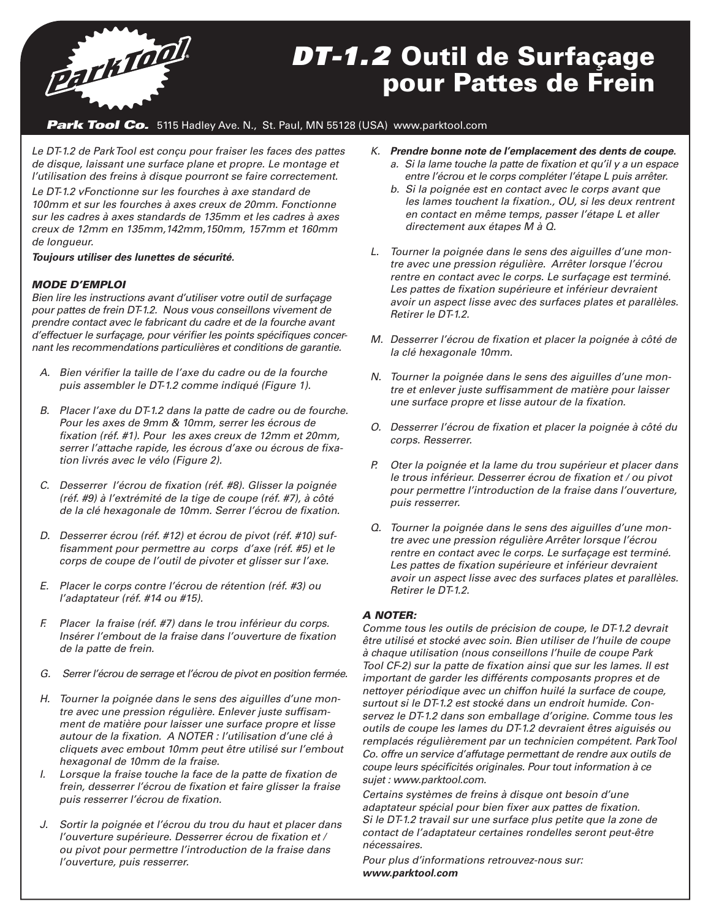

# *DT-1.2* Outil de Surfaçage pour Pattes de Frein

### **Park Tool Co.** 5115 Hadley Ave. N., St. Paul, MN 55128 (USA) www.parktool.com

*Le DT-1.2 de Park Tool est conçu pour fraiser les faces des pattes de disque, laissant une surface plane et propre. Le montage et l'utilisation des freins à disque pourront se faire correctement. Le DT-1.2 vFonctionne sur les fourches à axe standard de 100mm et sur les fourches à axes creux de 20mm. Fonctionne sur les cadres à axes standards de 135mm et les cadres à axes creux de 12mm en 135mm,142mm,150mm, 157mm et 160mm de longueur.*

*Toujours utiliser des lunettes de sécurité.*

### *MODE D'EMPLOI*

*Bien lire les instructions avant d'utiliser votre outil de surfaçage pour pattes de frein DT-1.2. Nous vous conseillons vivement de prendre contact avec le fabricant du cadre et de la fourche avant d'effectuer le surfaçage, pour vérifier les points spécifiques concernant les recommendations particulières et conditions de garantie.*

- *A. Bien vérifier la taille de l'axe du cadre ou de la fourche puis assembler le DT-1.2 comme indiqué (Figure 1).*
- *B. Placer l'axe du DT-1.2 dans la patte de cadre ou de fourche. Pour les axes de 9mm & 10mm, serrer les écrous de fixation (réf. #1). Pour les axes creux de 12mm et 20mm, serrer l'attache rapide, les écrous d'axe ou écrous de fixation livrés avec le vélo (Figure 2).*
- *C. Desserrer l'écrou de fixation (réf. #8). Glisser la poignée (réf. #9) à l'extrémité de la tige de coupe (réf. #7), à côté de la clé hexagonale de 10mm. Serrer l'écrou de fixation.*
- *D. Desserrer écrou (réf. #12) et écrou de pivot (réf. #10) suffisamment pour permettre au corps d'axe (réf. #5) et le corps de coupe de l'outil de pivoter et glisser sur l'axe.*
- *E. Placer le corps contre l'écrou de rétention (réf. #3) ou l'adaptateur (réf. #14 ou #15).*
- *F. Placer la fraise (réf. #7) dans le trou inférieur du corps. Insérer l'embout de la fraise dans l'ouverture de fixation de la patte de frein.*
- *G. Serrer l'écrou de serrage et l'écrou de pivot en position fermée.*
- *H. Tourner la poignée dans le sens des aiguilles d'une montre avec une pression régulière. Enlever juste suffisamment de matière pour laisser une surface propre et lisse autour de la fixation. A NOTER : l'utilisation d'une clé à cliquets avec embout 10mm peut être utilisé sur l'embout hexagonal de 10mm de la fraise.*
- *I. Lorsque la fraise touche la face de la patte de fixation de frein, desserrer l'écrou de fixation et faire glisser la fraise puis resserrer l'écrou de fixation.*
- *J. Sortir la poignée et l'écrou du trou du haut et placer dans l'ouverture supérieure. Desserrer écrou de fixation et / ou pivot pour permettre l'introduction de la fraise dans l'ouverture, puis resserrer.*
- *K. Prendre bonne note de l'emplacement des dents de coupe. a. Si la lame touche la patte de fixation et qu'il y a un espace entre l'écrou et le corps compléter l'étape L puis arrêter.* 
	- *b. Si la poignée est en contact avec le corps avant que les lames touchent la fixation., OU, si les deux rentrent en contact en même temps, passer l'étape L et aller directement aux étapes M à Q.*
- *L. Tourner la poignée dans le sens des aiguilles d'une montre avec une pression régulière. Arrêter lorsque l'écrou rentre en contact avec le corps. Le surfaçage est terminé. Les pattes de fixation supérieure et inférieur devraient avoir un aspect lisse avec des surfaces plates et parallèles. Retirer le DT-1.2.*
- *M. Desserrer l'écrou de fixation et placer la poignée à côté de la clé hexagonale 10mm.*
- *N. Tourner la poignée dans le sens des aiguilles d'une montre et enlever juste suffisamment de matière pour laisser une surface propre et lisse autour de la fixation.*
- *O. Desserrer l'écrou de fixation et placer la poignée à côté du corps. Resserrer.*
- *P. Oter la poignée et la lame du trou supérieur et placer dans le trous inférieur. Desserrer écrou de fixation et / ou pivot pour permettre l'introduction de la fraise dans l'ouverture, puis resserrer.*
- *Q. Tourner la poignée dans le sens des aiguilles d'une montre avec une pression régulière Arrêter lorsque l'écrou rentre en contact avec le corps. Le surfaçage est terminé. Les pattes de fixation supérieure et inférieur devraient avoir un aspect lisse avec des surfaces plates et parallèles. Retirer le DT-1.2.*

### *A NOTER:*

*Comme tous les outils de précision de coupe, le DT-1.2 devrait être utilisé et stocké avec soin. Bien utiliser de l'huile de coupe à chaque utilisation (nous conseillons l'huile de coupe Park Tool CF-2) sur la patte de fixation ainsi que sur les lames. Il est important de garder les différents composants propres et de nettoyer périodique avec un chiffon huilé la surface de coupe, surtout si le DT-1.2 est stocké dans un endroit humide. Conservez le DT-1.2 dans son emballage d'origine. Comme tous les outils de coupe les lames du DT-1.2 devraient êtres aiguisés ou remplacés régulièrement par un technicien compétent. Park Tool Co. offre un service d'affutage permettant de rendre aux outils de coupe leurs spécificités originales. Pour tout information à ce sujet : www.parktool.com.*

*Certains systèmes de freins à disque ont besoin d'une adaptateur spécial pour bien fixer aux pattes de fixation. Si le DT-1.2 travail sur une surface plus petite que la zone de contact de l'adaptateur certaines rondelles seront peut-être nécessaires.*

*Pour plus d'informations retrouvez-nous sur: www.parktool.com*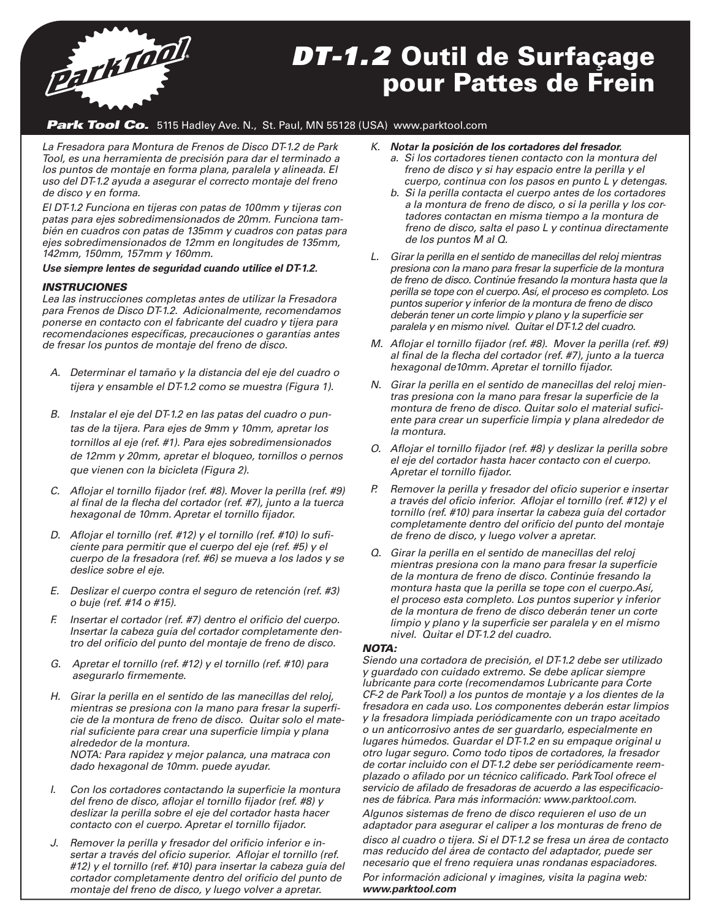

### *DT-1.2* Outil de Surfaçage pour Pattes de Frein

### *Park Tool Co.* 5115 Hadley Ave. N., St. Paul, MN 55128 (USA) www.parktool.com

*La Fresadora para Montura de Frenos de Disco DT-1.2 de Park Tool, es una herramienta de precisión para dar el terminado a los puntos de montaje en forma plana, paralela y alineada. El uso del DT-1.2 ayuda a asegurar el correcto montaje del freno de disco y en forma.* 

*El DT-1.2 Funciona en tijeras con patas de 100mm y tijeras con patas para ejes sobredimensionados de 20mm. Funciona también en cuadros con patas de 135mm y cuadros con patas para ejes sobredimensionados de 12mm en longitudes de 135mm, 142mm, 150mm, 157mm y 160mm.*

*Use siempre lentes de seguridad cuando utilice el DT-1.2.*

#### *INSTRUCIONES*

*Lea las instrucciones completas antes de utilizar la Fresadora para Frenos de Disco DT-1.2. Adicionalmente, recomendamos ponerse en contacto con el fabricante del cuadro y tijera para recomendaciones específicas, precauciones o garantías antes de fresar los puntos de montaje del freno de disco.*

- *A. Determinar el tamaño y la distancia del eje del cuadro o tijera y ensamble el DT-1.2 como se muestra (Figura 1).*
- *B. Instalar el eje del DT-1.2 en las patas del cuadro o puntas de la tijera. Para ejes de 9mm y 10mm, apretar los tornillos al eje (ref. #1). Para ejes sobredimensionados de 12mm y 20mm, apretar el bloqueo, tornillos o pernos que vienen con la bicicleta (Figura 2).*
- *C. Aflojar el tornillo fijador (ref. #8). Mover la perilla (ref. #9) al final de la flecha del cortador (ref. #7), junto a la tuerca hexagonal de 10mm. Apretar el tornillo fijador.*
- *D. Aflojar el tornillo (ref. #12) y el tornillo (ref. #10) lo suficiente para permitir que el cuerpo del eje (ref. #5) y el cuerpo de la fresadora (ref. #6) se mueva a los lados y se deslice sobre el eje.*
- *E. Deslizar el cuerpo contra el seguro de retención (ref. #3) o buje (ref. #14 o #15).*
- *F. Insertar el cortador (ref. #7) dentro el orificio del cuerpo. Insertar la cabeza guía del cortador completamente dentro del orificio del punto del montaje de freno de disco.*
- *G. Apretar el tornillo (ref. #12) y el tornillo (ref. #10) para asegurarlo firmemente.*
- *H. Girar la perilla en el sentido de las manecillas del reloj, mientras se presiona con la mano para fresar la superficie de la montura de freno de disco. Quitar solo el material suficiente para crear una superficie limpia y plana alrededor de la montura. NOTA: Para rapidez y mejor palanca, una matraca con dado hexagonal de 10mm. puede ayudar.*
- *I. Con los cortadores contactando la superficie la montura del freno de disco, aflojar el tornillo fijador (ref. #8) y deslizar la perilla sobre el eje del cortador hasta hacer contacto con el cuerpo. Apretar el tornillo fijador.*
- *J. Remover la perilla y fresador del orificio inferior e insertar a través del oficio superior. Aflojar el tornillo (ref. #12) y el tornillo (ref. #10) para insertar la cabeza guía del cortador completamente dentro del orificio del punto de montaje del freno de disco, y luego volver a apretar.*
- *K. Notar la posición de los cortadores del fresador.* 
	- *a. Si los cortadores tienen contacto con la montura del freno de disco y si hay espacio entre la perilla y el cuerpo, continua con los pasos en punto L y detengas.*
	- *b. Si la perilla contacta el cuerpo antes de los cortadores a la montura de freno de disco, o si la perilla y los cortadores contactan en misma tiempo a la montura de freno de disco, salta el paso L y continua directamente de los puntos M al Q.*
- *L. Girar la perilla en el sentido de manecillas del reloj mientras presiona con la mano para fresar la superficie de la montura de freno de disco. Continúe fresando la montura hasta que la perilla se tope con el cuerpo. Así, el proceso es completo. Los puntos superior y inferior de la montura de freno de disco deberán tener un corte limpio y plano y la superficie ser paralela y en mismo nivel. Quitar el DT-1.2 del cuadro.*
- *M. Aflojar el tornillo fijador (ref. #8). Mover la perilla (ref. #9) al final de la flecha del cortador (ref. #7), junto a la tuerca hexagonal de10mm. Apretar el tornillo fijador.*
- *N. Girar la perilla en el sentido de manecillas del reloj mientras presiona con la mano para fresar la superficie de la montura de freno de disco. Quitar solo el material suficiente para crear un superficie limpia y plana alrededor de la montura.*
- *O. Aflojar el tornillo fijador (ref. #8) y deslizar la perilla sobre el eje del cortador hasta hacer contacto con el cuerpo. Apretar el tornillo fijador.*
- *P. Remover la perilla y fresador del oficio superior e insertar a través del oficio inferior. Aflojar el tornillo (ref. #12) y el tornillo (ref. #10) para insertar la cabeza guía del cortador completamente dentro del orificio del punto del montaje de freno de disco, y luego volver a apretar.*
- *Q. Girar la perilla en el sentido de manecillas del reloj mientras presiona con la mano para fresar la superficie de la montura de freno de disco. Continúe fresando la montura hasta que la perilla se tope con el cuerpo.Así, el proceso esta completo. Los puntos superior y inferior de la montura de freno de disco deberán tener un corte limpio y plano y la superficie ser paralela y en el mismo nivel. Quitar el DT-1.2 del cuadro.*

#### *NOTA:*

*Siendo una cortadora de precisión, el DT-1.2 debe ser utilizado y guardado con cuidado extremo. Se debe aplicar siempre lubricante para corte (recomendamos Lubricante para Corte CF-2 de Park Tool) a los puntos de montaje y a los dientes de la fresadora en cada uso. Los componentes deberán estar limpios y la fresadora limpiada periódicamente con un trapo aceitado o un anticorrosivo antes de ser guardarlo, especialmente en lugares húmedos. Guardar el DT-1.2 en su empaque original u otro lugar seguro. Como todo tipos de cortadores, la fresador de cortar incluido con el DT-1.2 debe ser periódicamente reemplazado o afilado por un técnico calificado. Park Tool ofrece el servicio de afilado de fresadoras de acuerdo a las especificaciones de fábrica. Para más información: www.parktool.com.*

*Algunos sistemas de freno de disco requieren el uso de un adaptador para asegurar el caliper a los monturas de freno de disco al cuadro o tijera. Si el DT-1.2 se fresa un área de contacto mas reducido del área de contacto del adaptador, puede ser necesario que el freno requiera unas rondanas espaciadores. Por información adicional y imagines, visita la pagina web: www.parktool.com*